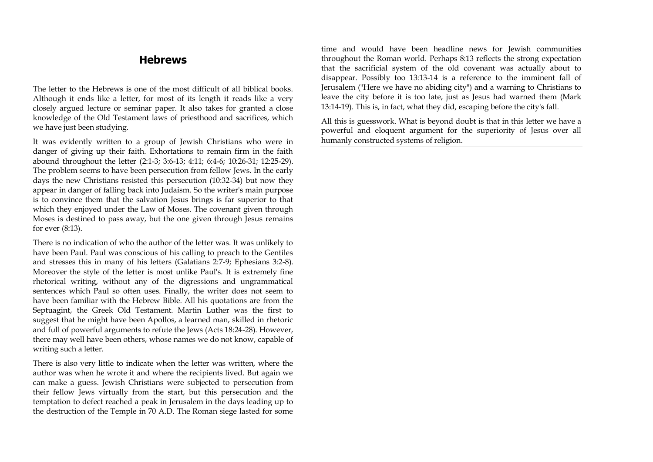## **Hebrews**

The letter to the Hebrews is one of the most difficult of all biblical books. Although it ends like a letter, for most of its length it reads like a very closely argued lecture or seminar paper. It also takes for granted a close knowledge of the Old Testament laws of priesthood and sacrifices, which we have just been studying.

It was evidently written to a group of Jewish Christians who were in danger of giving up their faith. Exhortations to remain firm in the faith abound throughout the letter (2:1-3; 3:6-13; 4:11; 6:4-6; 10:26-31; 12:25-29). The problem seems to have been persecution from fellow Jews. In the early days the new Christians resisted this persecution (10:32-34) but now they appear in danger of falling back into Judaism. So the writer's main purpose is to convince them that the salvation Jesus brings is far superior to that which they enjoyed under the Law of Moses. The covenant given through Moses is destined to pass away, but the one given through Jesus remains for ever (8:13).

There is no indication of who the author of the letter was. It was unlikely to have been Paul. Paul was conscious of his calling to preach to the Gentiles and stresses this in many of his letters (Galatians 2:7-9; Ephesians 3:2-8). Moreover the style of the letter is most unlike Paul's. It is extremely fine rhetorical writing, without any of the digressions and ungrammatical sentences which Paul so often uses. Finally, the writer does not seem to have been familiar with the Hebrew Bible. All his quotations are from the Septuagint, the Greek Old Testament. Martin Luther was the first to suggest that he might have been Apollos, a learned man, skilled in rhetoric and full of powerful arguments to refute the Jews (Acts 18:24-28). However, there may well have been others, whose names we do not know, capable of writing such a letter.

There is also very little to indicate when the letter was written, where the author was when he wrote it and where the recipients lived. But again we can make a guess. Jewish Christians were subjected to persecution from their fellow Jews virtually from the start, but this persecution and the temptation to defect reached a peak in Jerusalem in the days leading up to the destruction of the Temple in 70 A.D. The Roman siege lasted for some

time and would have been headline news for Jewish communities throughout the Roman world. Perhaps 8:13 reflects the strong expectation that the sacrificial system of the old covenant was actually about to disappear. Possibly too 13:13-14 is a reference to the imminent fall of Jerusalem ("Here we have no abiding city") and a warning to Christians to leave the city before it is too late, just as Jesus had warned them (Mark 13:14-19). This is, in fact, what they did, escaping before the city's fall.

All this is guesswork. What is beyond doubt is that in this letter we have a powerful and eloquent argument for the superiority of Jesus over all humanly constructed systems of religion.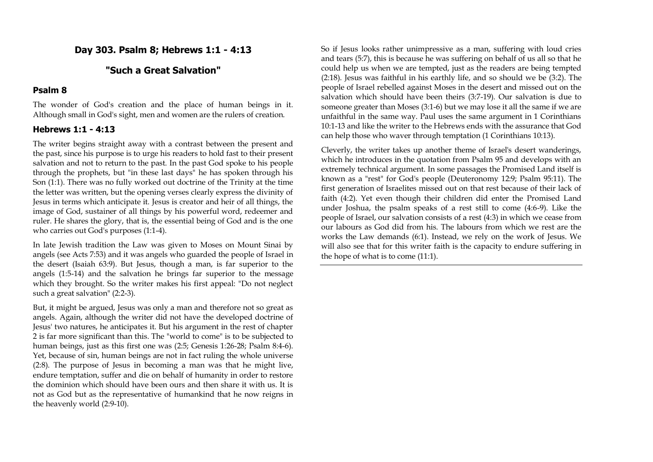## **Day 303. Psalm 8; Hebrews 1:1 - 4:13**

## **"Such a Great Salvation"**

#### **Psalm 8**

The wonder of God's creation and the place of human beings in it. Although small in God's sight, men and women are the rulers of creation.

#### **Hebrews 1:1 - 4:13**

The writer begins straight away with a contrast between the present and the past, since his purpose is to urge his readers to hold fast to their present salvation and not to return to the past. In the past God spoke to his people through the prophets, but "in these last days" he has spoken through his Son (1:1). There was no fully worked out doctrine of the Trinity at the time the letter was written, but the opening verses clearly express the divinity of Jesus in terms which anticipate it. Jesus is creator and heir of all things, the image of God, sustainer of all things by his powerful word, redeemer and ruler. He shares the glory, that is, the essential being of God and is the one who carries out God's purposes (1:1-4).

In late Jewish tradition the Law was given to Moses on Mount Sinai by angels (see Acts 7:53) and it was angels who guarded the people of Israel in the desert (Isaiah 63:9). But Jesus, though a man, is far superior to the angels (1:5-14) and the salvation he brings far superior to the message which they brought. So the writer makes his first appeal: "Do not neglect such a great salvation" (2:2-3).

But, it might be argued, Jesus was only a man and therefore not so great as angels. Again, although the writer did not have the developed doctrine of Jesus' two natures, he anticipates it. But his argument in the rest of chapter 2 is far more significant than this. The "world to come" is to be subjected to human beings, just as this first one was (2:5; Genesis 1:26-28; Psalm 8:4-6). Yet, because of sin, human beings are not in fact ruling the whole universe (2:8). The purpose of Jesus in becoming a man was that he might live, endure temptation, suffer and die on behalf of humanity in order to restore the dominion which should have been ours and then share it with us. It is not as God but as the representative of humankind that he now reigns in the heavenly world (2:9-10).

So if Jesus looks rather unimpressive as a man, suffering with loud cries and tears (5:7), this is because he was suffering on behalf of us all so that he could help us when we are tempted, just as the readers are being tempted (2:18). Jesus was faithful in his earthly life, and so should we be (3:2). The people of Israel rebelled against Moses in the desert and missed out on the salvation which should have been theirs (3:7-19). Our salvation is due to someone greater than Moses (3:1-6) but we may lose it all the same if we are unfaithful in the same way. Paul uses the same argument in 1 Corinthians 10:1-13 and like the writer to the Hebrews ends with the assurance that God can help those who waver through temptation (1 Corinthians 10:13).

Cleverly, the writer takes up another theme of Israel's desert wanderings, which he introduces in the quotation from Psalm 95 and develops with an extremely technical argument. In some passages the Promised Land itself is known as a "rest" for God's people (Deuteronomy 12:9; Psalm 95:11). The first generation of Israelites missed out on that rest because of their lack of faith (4:2). Yet even though their children did enter the Promised Land under Joshua, the psalm speaks of a rest still to come (4:6-9). Like the people of Israel, our salvation consists of a rest (4:3) in which we cease from our labours as God did from his. The labours from which we rest are the works the Law demands (6:1). Instead, we rely on the work of Jesus. We will also see that for this writer faith is the capacity to endure suffering in the hope of what is to come (11:1).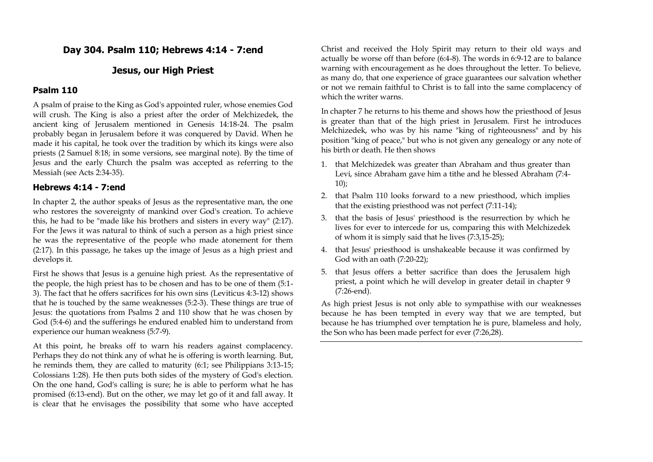## **Day 304. Psalm 110; Hebrews 4:14 - 7:end**

### **Jesus, our High Priest**

#### **Psalm 110**

A psalm of praise to the King as God's appointed ruler, whose enemies God will crush. The King is also a priest after the order of Melchizedek, the ancient king of Jerusalem mentioned in Genesis 14:18-24. The psalm probably began in Jerusalem before it was conquered by David. When he made it his capital, he took over the tradition by which its kings were also priests (2 Samuel 8:18; in some versions, see marginal note). By the time of Jesus and the early Church the psalm was accepted as referring to the Messiah (see Acts 2:34-35).

#### **Hebrews 4:14 - 7:end**

In chapter 2, the author speaks of Jesus as the representative man, the one who restores the sovereignty of mankind over God's creation. To achieve this, he had to be "made like his brothers and sisters in every way" (2:17). For the Jews it was natural to think of such a person as a high priest since he was the representative of the people who made atonement for them (2:17). In this passage, he takes up the image of Jesus as a high priest and develops it.

First he shows that Jesus is a genuine high priest. As the representative of the people, the high priest has to be chosen and has to be one of them (5:1- 3). The fact that he offers sacrifices for his own sins (Leviticus 4:3-12) shows that he is touched by the same weaknesses (5:2-3). These things are true of Jesus: the quotations from Psalms 2 and 110 show that he was chosen by God (5:4-6) and the sufferings he endured enabled him to understand from experience our human weakness (5:7-9).

At this point, he breaks off to warn his readers against complacency. Perhaps they do not think any of what he is offering is worth learning. But, he reminds them, they are called to maturity (6:1; see Philippians 3:13-15; Colossians 1:28). He then puts both sides of the mystery of God's election. On the one hand, God's calling is sure; he is able to perform what he has promised (6:13-end). But on the other, we may let go of it and fall away. It is clear that he envisages the possibility that some who have accepted

Christ and received the Holy Spirit may return to their old ways and actually be worse off than before (6:4-8). The words in 6:9-12 are to balance warning with encouragement as he does throughout the letter. To believe, as many do, that one experience of grace guarantees our salvation whether or not we remain faithful to Christ is to fall into the same complacency of which the writer warns.

In chapter 7 he returns to his theme and shows how the priesthood of Jesus is greater than that of the high priest in Jerusalem. First he introduces Melchizedek, who was by his name "king of righteousness" and by his position "king of peace," but who is not given any genealogy or any note of his birth or death. He then shows

- 1. that Melchizedek was greater than Abraham and thus greater than Levi, since Abraham gave him a tithe and he blessed Abraham (7:4- 10);
- 2. that Psalm 110 looks forward to a new priesthood, which implies that the existing priesthood was not perfect (7:11-14);
- 3. that the basis of Jesus' priesthood is the resurrection by which he lives for ever to intercede for us, comparing this with Melchizedek of whom it is simply said that he lives (7:3,15-25);
- 4. that Jesus' priesthood is unshakeable because it was confirmed by God with an oath (7:20-22);
- 5. that Jesus offers a better sacrifice than does the Jerusalem high priest, a point which he will develop in greater detail in chapter 9 (7:26-end).

As high priest Jesus is not only able to sympathise with our weaknesses because he has been tempted in every way that we are tempted, but because he has triumphed over temptation he is pure, blameless and holy, the Son who has been made perfect for ever (7:26,28).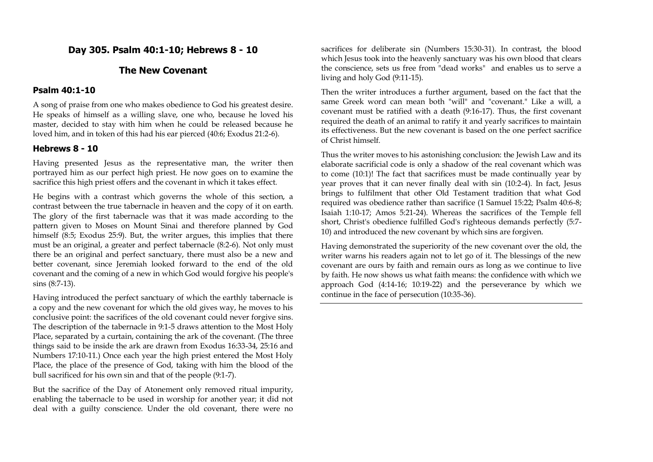## **Day 305. Psalm 40:1-10; Hebrews 8 - 10**

## **The New Covenant**

### **Psalm 40:1-10**

A song of praise from one who makes obedience to God his greatest desire. He speaks of himself as a willing slave, one who, because he loved his master, decided to stay with him when he could be released because he loved him, and in token of this had his ear pierced (40:6; Exodus 21:2-6).

## **Hebrews 8 - 10**

Having presented Jesus as the representative man, the writer then portrayed him as our perfect high priest. He now goes on to examine the sacrifice this high priest offers and the covenant in which it takes effect.

He begins with a contrast which governs the whole of this section, a contrast between the true tabernacle in heaven and the copy of it on earth. The glory of the first tabernacle was that it was made according to the pattern given to Moses on Mount Sinai and therefore planned by God himself (8:5; Exodus 25:9). But, the writer argues, this implies that there must be an original, a greater and perfect tabernacle (8:2-6). Not only must there be an original and perfect sanctuary, there must also be a new and better covenant, since Jeremiah looked forward to the end of the old covenant and the coming of a new in which God would forgive his people's sins (8:7-13).

Having introduced the perfect sanctuary of which the earthly tabernacle is a copy and the new covenant for which the old gives way, he moves to his conclusive point: the sacrifices of the old covenant could never forgive sins. The description of the tabernacle in 9:1-5 draws attention to the Most Holy Place, separated by a curtain, containing the ark of the covenant. (The three things said to be inside the ark are drawn from Exodus 16:33-34, 25:16 and Numbers 17:10-11.) Once each year the high priest entered the Most Holy Place, the place of the presence of God, taking with him the blood of the bull sacrificed for his own sin and that of the people (9:1-7).

But the sacrifice of the Day of Atonement only removed ritual impurity, enabling the tabernacle to be used in worship for another year; it did not deal with a guilty conscience. Under the old covenant, there were no

sacrifices for deliberate sin (Numbers 15:30-31). In contrast, the blood which Jesus took into the heavenly sanctuary was his own blood that clears the conscience, sets us free from "dead works" and enables us to serve a living and holy God (9:11-15).

Then the writer introduces a further argument, based on the fact that the same Greek word can mean both "will" and "covenant." Like a will, a covenant must be ratified with a death (9:16-17). Thus, the first covenant required the death of an animal to ratify it and yearly sacrifices to maintain its effectiveness. But the new covenant is based on the one perfect sacrifice of Christ himself.

Thus the writer moves to his astonishing conclusion: the Jewish Law and its elaborate sacrificial code is only a shadow of the real covenant which was to come (10:1)! The fact that sacrifices must be made continually year by year proves that it can never finally deal with sin (10:2-4). In fact, Jesus brings to fulfilment that other Old Testament tradition that what God required was obedience rather than sacrifice (1 Samuel 15:22; Psalm 40:6-8; Isaiah 1:10-17; Amos 5:21-24). Whereas the sacrifices of the Temple fell short, Christ's obedience fulfilled God's righteous demands perfectly (5:7- 10) and introduced the new covenant by which sins are forgiven.

Having demonstrated the superiority of the new covenant over the old, the writer warns his readers again not to let go of it. The blessings of the new covenant are ours by faith and remain ours as long as we continue to live by faith. He now shows us what faith means: the confidence with which we approach God (4:14-16; 10:19-22) and the perseverance by which we continue in the face of persecution (10:35-36).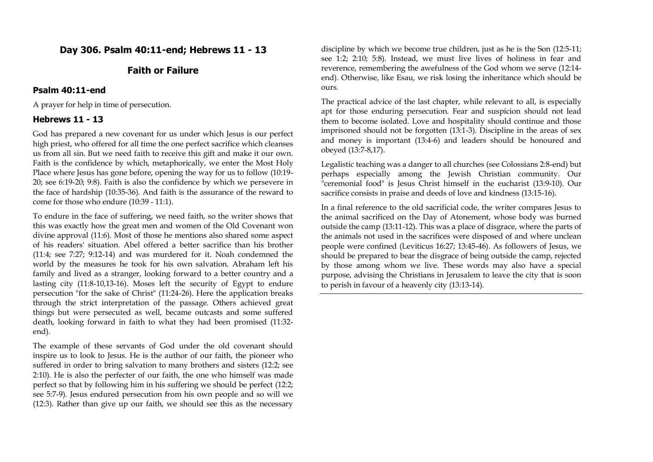## **Day 306. Psalm 40:11-end; Hebrews 11 - 13**

## **Faith or Failure**

#### **Psalm 40:11-end**

A prayer for help in time of persecution.

#### **Hebrews 11 - 13**

God has prepared a new covenant for us under which Jesus is our perfect high priest, who offered for all time the one perfect sacrifice which cleanses us from all sin. But we need faith to receive this gift and make it our own. Faith is the confidence by which, metaphorically, we enter the Most Holy Place where Jesus has gone before, opening the way for us to follow (10:19- 20; see 6:19-20; 9:8). Faith is also the confidence by which we persevere in the face of hardship (10:35-36). And faith is the assurance of the reward to come for those who endure (10:39 - 11:1).

To endure in the face of suffering, we need faith, so the writer shows that this was exactly how the great men and women of the Old Covenant won divine approval (11:6). Most of those he mentions also shared some aspect of his readers' situation. Abel offered a better sacrifice than his brother (11:4; see 7:27; 9:12-14) and was murdered for it. Noah condemned the world by the measures he took for his own salvation. Abraham left his family and lived as a stranger, looking forward to a better country and a lasting city (11:8-10,13-16). Moses left the security of Egypt to endure persecution "for the sake of Christ" (11:24-26). Here the application breaks through the strict interpretation of the passage. Others achieved great things but were persecuted as well, became outcasts and some suffered death, looking forward in faith to what they had been promised (11:32 end).

The example of these servants of God under the old covenant should inspire us to look to Jesus. He is the author of our faith, the pioneer who suffered in order to bring salvation to many brothers and sisters (12:2; see 2:10). He is also the perfecter of our faith, the one who himself was made perfect so that by following him in his suffering we should be perfect (12:2; see 5:7-9). Jesus endured persecution from his own people and so will we (12:3). Rather than give up our faith, we should see this as the necessary

discipline by which we become true children, just as he is the Son (12:5-11; see 1:2; 2:10; 5:8). Instead, we must live lives of holiness in fear and reverence, remembering the awefulness of the God whom we serve (12:14 end). Otherwise, like Esau, we risk losing the inheritance which should be ours.

The practical advice of the last chapter, while relevant to all, is especially apt for those enduring persecution. Fear and suspicion should not lead them to become isolated. Love and hospitality should continue and those imprisoned should not be forgotten (13:1-3). Discipline in the areas of sex and money is important (13:4-6) and leaders should be honoured and obeyed (13:7-8,17).

Legalistic teaching was a danger to all churches (see Colossians 2:8-end) but perhaps especially among the Jewish Christian community. Our "ceremonial food" is Jesus Christ himself in the eucharist (13:9-10). Our sacrifice consists in praise and deeds of love and kindness (13:15-16).

In a final reference to the old sacrificial code, the writer compares Jesus to the animal sacrificed on the Day of Atonement, whose body was burned outside the camp (13:11-12). This was a place of disgrace, where the parts of the animals not used in the sacrifices were disposed of and where unclean people were confined (Leviticus 16:27; 13:45-46). As followers of Jesus, we should be prepared to bear the disgrace of being outside the camp, rejected by those among whom we live. These words may also have a special purpose, advising the Christians in Jerusalem to leave the city that is soon to perish in favour of a heavenly city (13:13-14).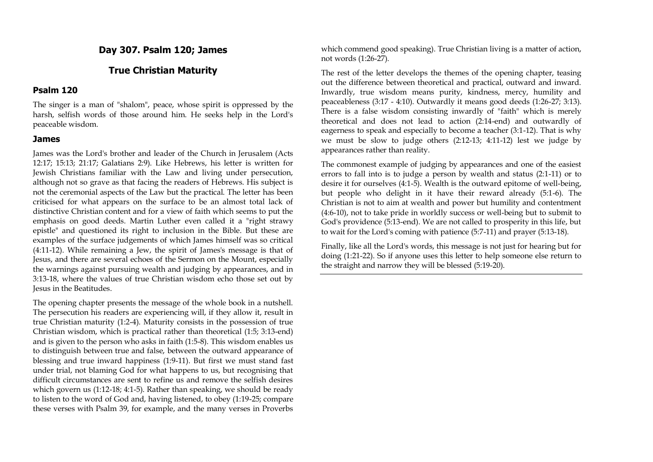## **Day 307. Psalm 120; James**

## **True Christian Maturity**

#### **Psalm 120**

The singer is a man of "shalom", peace, whose spirit is oppressed by the harsh, selfish words of those around him. He seeks help in the Lord's peaceable wisdom.

#### **James**

James was the Lord's brother and leader of the Church in Jerusalem (Acts 12:17; 15:13; 21:17; Galatians 2:9). Like Hebrews, his letter is written for Jewish Christians familiar with the Law and living under persecution, although not so grave as that facing the readers of Hebrews. His subject is not the ceremonial aspects of the Law but the practical. The letter has been criticised for what appears on the surface to be an almost total lack of distinctive Christian content and for a view of faith which seems to put the emphasis on good deeds. Martin Luther even called it a "right strawy epistle" and questioned its right to inclusion in the Bible. But these are examples of the surface judgements of which James himself was so critical (4:11-12). While remaining a Jew, the spirit of James's message is that of Jesus, and there are several echoes of the Sermon on the Mount, especially the warnings against pursuing wealth and judging by appearances, and in 3:13-18, where the values of true Christian wisdom echo those set out by Jesus in the Beatitudes.

The opening chapter presents the message of the whole book in a nutshell. The persecution his readers are experiencing will, if they allow it, result in true Christian maturity (1:2-4). Maturity consists in the possession of true Christian wisdom, which is practical rather than theoretical (1:5; 3:13-end) and is given to the person who asks in faith (1:5-8). This wisdom enables us to distinguish between true and false, between the outward appearance of blessing and true inward happiness (1:9-11). But first we must stand fast under trial, not blaming God for what happens to us, but recognising that difficult circumstances are sent to refine us and remove the selfish desires which govern us (1:12-18; 4:1-5). Rather than speaking, we should be ready to listen to the word of God and, having listened, to obey (1:19-25; compare these verses with Psalm 39, for example, and the many verses in Proverbs

which commend good speaking). True Christian living is a matter of action, not words (1:26-27).

The rest of the letter develops the themes of the opening chapter, teasing out the difference between theoretical and practical, outward and inward. Inwardly, true wisdom means purity, kindness, mercy, humility and peaceableness (3:17 - 4:10). Outwardly it means good deeds (1:26-27; 3:13). There is a false wisdom consisting inwardly of "faith" which is merely theoretical and does not lead to action (2:14-end) and outwardly of eagerness to speak and especially to become a teacher (3:1-12). That is why we must be slow to judge others (2:12-13; 4:11-12) lest we judge by appearances rather than reality.

The commonest example of judging by appearances and one of the easiest errors to fall into is to judge a person by wealth and status (2:1-11) or to desire it for ourselves (4:1-5). Wealth is the outward epitome of well-being, but people who delight in it have their reward already (5:1-6). The Christian is not to aim at wealth and power but humility and contentment (4:6-10), not to take pride in worldly success or well-being but to submit to God's providence (5:13-end). We are not called to prosperity in this life, but to wait for the Lord's coming with patience (5:7-11) and prayer (5:13-18).

Finally, like all the Lord's words, this message is not just for hearing but for doing (1:21-22). So if anyone uses this letter to help someone else return to the straight and narrow they will be blessed (5:19-20).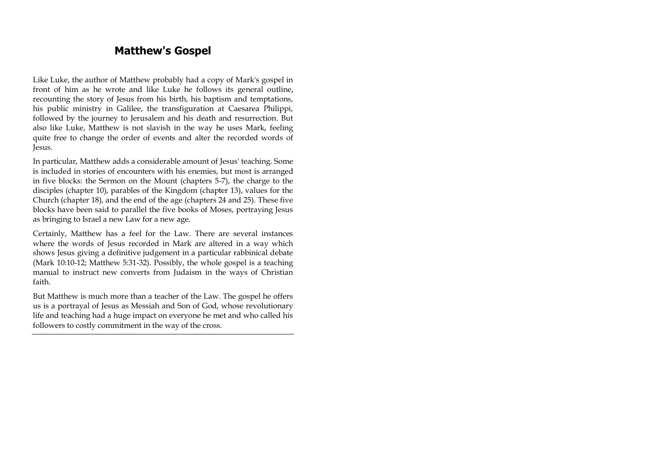# **Matthew's Gospel**

Like Luke, the author of Matthew probably had a copy of Mark's gospel in front of him as he wrote and like Luke he follows its general outline, recounting the story of Jesus from his birth, his baptism and temptations, his public ministry in Galilee, the transfiguration at Caesarea Philippi, followed by the journey to Jerusalem and his death and resurrection. But also like Luke, Matthew is not slavish in the way he uses Mark, feeling quite free to change the order of events and alter the recorded words of Jesus.

In particular, Matthew adds a considerable amount of Jesus' teaching. Some is included in stories of encounters with his enemies, but most is arranged in five blocks: the Sermon on the Mount (chapters 5-7), the charge to the disciples (chapter 10), parables of the Kingdom (chapter 13), values for the Church (chapter 18), and the end of the age (chapters 24 and 25). These five blocks have been said to parallel the five books of Moses, portraying Jesus as bringing to Israel a new Law for a new age.

Certainly, Matthew has a feel for the Law. There are several instances where the words of Jesus recorded in Mark are altered in a way which shows Jesus giving a definitive judgement in a particular rabbinical debate (Mark 10:10-12; Matthew 5:31-32). Possibly, the whole gospel is a teaching manual to instruct new converts from Judaism in the ways of Christian faith.

But Matthew is much more than a teacher of the Law. The gospel he offers us is a portrayal of Jesus as Messiah and Son of God, whose revolutionary life and teaching had a huge impact on everyone he met and who called his followers to costly commitment in the way of the cross.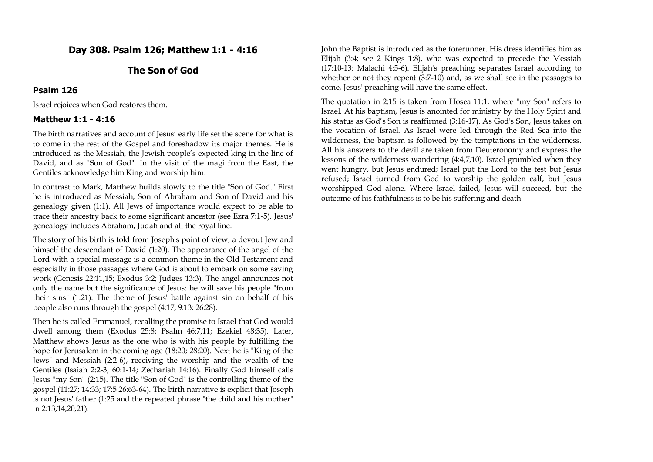## **Day 308. Psalm 126; Matthew 1:1 - 4:16**

## **The Son of God**

#### **Psalm 126**

Israel rejoices when God restores them.

#### **Matthew 1:1 - 4:16**

The birth narratives and account of Jesus' early life set the scene for what is to come in the rest of the Gospel and foreshadow its major themes. He is introduced as the Messiah, the Jewish people's expected king in the line of David, and as "Son of God". In the visit of the magi from the East, the Gentiles acknowledge him King and worship him.

In contrast to Mark, Matthew builds slowly to the title "Son of God." First he is introduced as Messiah, Son of Abraham and Son of David and his genealogy given (1:1). All Jews of importance would expect to be able to trace their ancestry back to some significant ancestor (see Ezra 7:1-5). Jesus' genealogy includes Abraham, Judah and all the royal line.

The story of his birth is told from Joseph's point of view, a devout Jew and himself the descendant of David (1:20). The appearance of the angel of the Lord with a special message is a common theme in the Old Testament and especially in those passages where God is about to embark on some saving work (Genesis 22:11,15; Exodus 3:2; Judges 13:3). The angel announces not only the name but the significance of Jesus: he will save his people "from their sins" (1:21). The theme of Jesus' battle against sin on behalf of his people also runs through the gospel (4:17; 9:13; 26:28).

Then he is called Emmanuel, recalling the promise to Israel that God would dwell among them (Exodus 25:8; Psalm 46:7,11; Ezekiel 48:35). Later, Matthew shows Jesus as the one who is with his people by fulfilling the hope for Jerusalem in the coming age (18:20; 28:20). Next he is "King of the Jews" and Messiah (2:2-6), receiving the worship and the wealth of the Gentiles (Isaiah 2:2-3; 60:1-14; Zechariah 14:16). Finally God himself calls Jesus "my Son" (2:15). The title "Son of God" is the controlling theme of the gospel (11:27; 14:33; 17:5 26:63-64). The birth narrative is explicit that Joseph is not Jesus' father (1:25 and the repeated phrase "the child and his mother" in 2:13,14,20,21).

John the Baptist is introduced as the forerunner. His dress identifies him as Elijah (3:4; see 2 Kings 1:8), who was expected to precede the Messiah (17:10-13; Malachi 4:5-6). Elijah's preaching separates Israel according to whether or not they repent (3:7-10) and, as we shall see in the passages to come, Jesus' preaching will have the same effect.

The quotation in 2:15 is taken from Hosea 11:1, where "my Son" refers to Israel. At his baptism, Jesus is anointed for ministry by the Holy Spirit and his status as God's Son is reaffirmed (3:16-17). As God's Son, Jesus takes on the vocation of Israel. As Israel were led through the Red Sea into the wilderness, the baptism is followed by the temptations in the wilderness. All his answers to the devil are taken from Deuteronomy and express the lessons of the wilderness wandering (4:4,7,10). Israel grumbled when they went hungry, but Jesus endured; Israel put the Lord to the test but Jesus refused; Israel turned from God to worship the golden calf, but Jesus worshipped God alone. Where Israel failed, Jesus will succeed, but the outcome of his faithfulness is to be his suffering and death.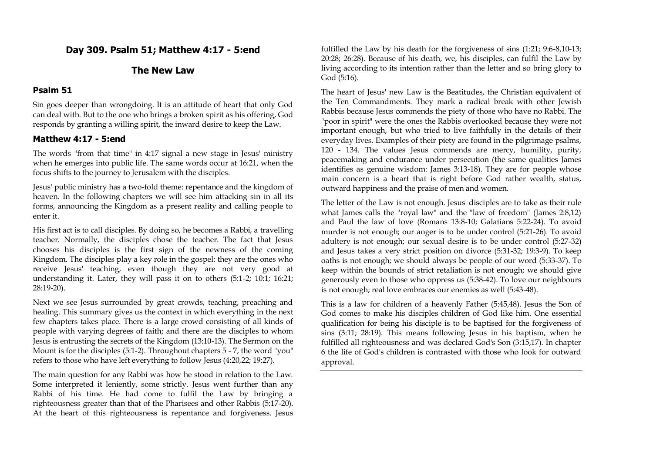## **Day 309. Psalm 51; Matthew 4:17 - 5:end**

#### **The New Law**

#### **Psalm 51**

Sin goes deeper than wrongdoing. It is an attitude of heart that only God can deal with. But to the one who brings a broken spirit as his offering, God responds by granting a willing spirit, the inward desire to keep the Law.

### **Matthew 4:17 - 5:end**

The words "from that time" in 4:17 signal a new stage in Jesus' ministry when he emerges into public life. The same words occur at 16:21, when the focus shifts to the journey to Jerusalem with the disciples.

Jesus' public ministry has a two-fold theme: repentance and the kingdom of heaven. In the following chapters we will see him attacking sin in all its forms, announcing the Kingdom as a present reality and calling people to enter it.

His first act is to call disciples. By doing so, he becomes a Rabbi, a travelling teacher. Normally, the disciples chose the teacher. The fact that Jesus chooses his disciples is the first sign of the newness of the coming Kingdom. The disciples play a key role in the gospel: they are the ones who receive Jesus' teaching, even though they are not very good at understanding it. Later, they will pass it on to others (5:1-2; 10:1; 16:21; 28:19-20).

Next we see Jesus surrounded by great crowds, teaching, preaching and healing. This summary gives us the context in which everything in the next few chapters takes place. There is a large crowd consisting of all kinds of people with varying degrees of faith; and there are the disciples to whom Jesus is entrusting the secrets of the Kingdom (13:10-13). The Sermon on the Mount is for the disciples (5:1-2). Throughout chapters 5 - 7, the word "you" refers to those who have left everything to follow Jesus (4:20,22; 19:27).

The main question for any Rabbi was how he stood in relation to the Law. Some interpreted it leniently, some strictly. Jesus went further than any Rabbi of his time. He had come to fulfil the Law by bringing a righteousness greater than that of the Pharisees and other Rabbis (5:17-20). At the heart of this righteousness is repentance and forgiveness. Jesus

fulfilled the Law by his death for the forgiveness of sins (1:21; 9:6-8,10-13; 20:28; 26:28). Because of his death, we, his disciples, can fulfil the Law by living according to its intention rather than the letter and so bring glory to God (5:16).

The heart of Jesus' new Law is the Beatitudes, the Christian equivalent of the Ten Commandments. They mark a radical break with other Jewish Rabbis because Jesus commends the piety of those who have no Rabbi. The "poor in spirit" were the ones the Rabbis overlooked because they were not important enough, but who tried to live faithfully in the details of their everyday lives. Examples of their piety are found in the pilgrimage psalms, 120 - 134. The values Jesus commends are mercy, humility, purity, peacemaking and endurance under persecution (the same qualities James identifies as genuine wisdom: James 3:13-18). They are for people whose main concern is a heart that is right before God rather wealth, status, outward happiness and the praise of men and women.

The letter of the Law is not enough. Jesus' disciples are to take as their rule what James calls the "royal law" and the "law of freedom" (James 2:8,12) and Paul the law of love (Romans 13:8-10; Galatians 5:22-24). To avoid murder is not enough; our anger is to be under control (5:21-26). To avoid adultery is not enough; our sexual desire is to be under control (5:27-32) and Jesus takes a very strict position on divorce (5:31-32; 19:3-9). To keep oaths is not enough; we should always be people of our word (5:33-37). To keep within the bounds of strict retaliation is not enough; we should give generously even to those who oppress us (5:38-42). To love our neighbours is not enough; real love embraces our enemies as well (5:43-48).

This is a law for children of a heavenly Father (5:45,48). Jesus the Son of God comes to make his disciples children of God like him. One essential qualification for being his disciple is to be baptised for the forgiveness of sins (3:11; 28:19). This means following Jesus in his baptism, when he fulfilled all righteousness and was declared God's Son (3:15,17). In chapter 6 the life of God's children is contrasted with those who look for outward approval.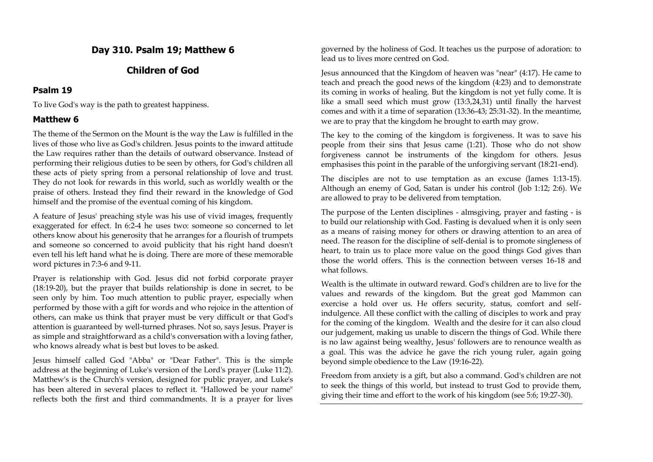## **Day 310. Psalm 19; Matthew 6**

## **Children of God**

### **Psalm 19**

To live God's way is the path to greatest happiness.

## **Matthew 6**

The theme of the Sermon on the Mount is the way the Law is fulfilled in the lives of those who live as God's children. Jesus points to the inward attitude the Law requires rather than the details of outward observance. Instead of performing their religious duties to be seen by others, for God's children all these acts of piety spring from a personal relationship of love and trust. They do not look for rewards in this world, such as worldly wealth or the praise of others. Instead they find their reward in the knowledge of God himself and the promise of the eventual coming of his kingdom.

A feature of Jesus' preaching style was his use of vivid images, frequently exaggerated for effect. In 6:2-4 he uses two: someone so concerned to let others know about his generosity that he arranges for a flourish of trumpets and someone so concerned to avoid publicity that his right hand doesn't even tell his left hand what he is doing. There are more of these memorable word pictures in 7:3-6 and 9-11.

Prayer is relationship with God. Jesus did not forbid corporate prayer (18:19-20), but the prayer that builds relationship is done in secret, to be seen only by him. Too much attention to public prayer, especially when performed by those with a gift for words and who rejoice in the attention of others, can make us think that prayer must be very difficult or that God's attention is guaranteed by well-turned phrases. Not so, says Jesus. Prayer is as simple and straightforward as a child's conversation with a loving father, who knows already what is best but loves to be asked.

Jesus himself called God "Abba" or "Dear Father". This is the simple address at the beginning of Luke's version of the Lord's prayer (Luke 11:2). Matthew's is the Church's version, designed for public prayer, and Luke's has been altered in several places to reflect it. "Hallowed be your name" reflects both the first and third commandments. It is a prayer for lives governed by the holiness of God. It teaches us the purpose of adoration: to lead us to lives more centred on God.

Jesus announced that the Kingdom of heaven was "near" (4:17). He came to teach and preach the good news of the kingdom (4:23) and to demonstrate its coming in works of healing. But the kingdom is not yet fully come. It is like a small seed which must grow (13:3,24,31) until finally the harvest comes and with it a time of separation (13:36-43; 25:31-32). In the meantime, we are to pray that the kingdom he brought to earth may grow.

The key to the coming of the kingdom is forgiveness. It was to save his people from their sins that Jesus came (1:21). Those who do not show forgiveness cannot be instruments of the kingdom for others. Jesus emphasises this point in the parable of the unforgiving servant (18:21-end).

The disciples are not to use temptation as an excuse (James 1:13-15). Although an enemy of God, Satan is under his control (Job 1:12; 2:6). We are allowed to pray to be delivered from temptation.

The purpose of the Lenten disciplines - almsgiving, prayer and fasting - is to build our relationship with God. Fasting is devalued when it is only seen as a means of raising money for others or drawing attention to an area of need. The reason for the discipline of self-denial is to promote singleness of heart, to train us to place more value on the good things God gives than those the world offers. This is the connection between verses 16-18 and what follows.

Wealth is the ultimate in outward reward. God's children are to live for the values and rewards of the kingdom. But the great god Mammon can exercise a hold over us. He offers security, status, comfort and selfindulgence. All these conflict with the calling of disciples to work and pray for the coming of the kingdom. Wealth and the desire for it can also cloud our judgement, making us unable to discern the things of God. While there is no law against being wealthy, Jesus' followers are to renounce wealth as a goal. This was the advice he gave the rich young ruler, again going beyond simple obedience to the Law (19:16-22).

Freedom from anxiety is a gift, but also a command. God's children are not to seek the things of this world, but instead to trust God to provide them, giving their time and effort to the work of his kingdom (see 5:6; 19:27-30).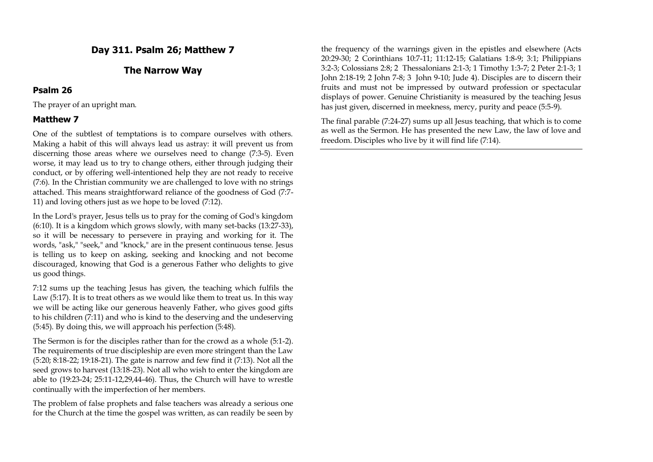## **Day 311. Psalm 26; Matthew 7**

## **The Narrow Way**

#### **Psalm 26**

The prayer of an upright man.

### **Matthew 7**

One of the subtlest of temptations is to compare ourselves with others. Making a habit of this will always lead us astray: it will prevent us from discerning those areas where we ourselves need to change (7:3-5). Even worse, it may lead us to try to change others, either through judging their conduct, or by offering well-intentioned help they are not ready to receive (7:6). In the Christian community we are challenged to love with no strings attached. This means straightforward reliance of the goodness of God (7:7- 11) and loving others just as we hope to be loved (7:12).

In the Lord's prayer, Jesus tells us to pray for the coming of God's kingdom (6:10). It is a kingdom which grows slowly, with many set-backs (13:27-33), so it will be necessary to persevere in praying and working for it. The words, "ask," "seek," and "knock," are in the present continuous tense. Jesus is telling us to keep on asking, seeking and knocking and not become discouraged, knowing that God is a generous Father who delights to give us good things.

7:12 sums up the teaching Jesus has given, the teaching which fulfils the Law (5:17). It is to treat others as we would like them to treat us. In this way we will be acting like our generous heavenly Father, who gives good gifts to his children (7:11) and who is kind to the deserving and the undeserving (5:45). By doing this, we will approach his perfection (5:48).

The Sermon is for the disciples rather than for the crowd as a whole (5:1-2). The requirements of true discipleship are even more stringent than the Law (5:20; 8:18-22; 19:18-21). The gate is narrow and few find it (7:13). Not all the seed grows to harvest (13:18-23). Not all who wish to enter the kingdom are able to (19:23-24; 25:11-12,29,44-46). Thus, the Church will have to wrestle continually with the imperfection of her members.

The problem of false prophets and false teachers was already a serious one for the Church at the time the gospel was written, as can readily be seen by

the frequency of the warnings given in the epistles and elsewhere (Acts 20:29-30; 2 Corinthians 10:7-11; 11:12-15; Galatians 1:8-9; 3:1; Philippians 3:2-3; Colossians 2:8; 2 Thessalonians 2:1-3; 1 Timothy 1:3-7; 2 Peter 2:1-3; 1 John 2:18-19; 2 John 7-8; 3 John 9-10; Jude 4). Disciples are to discern their fruits and must not be impressed by outward profession or spectacular displays of power. Genuine Christianity is measured by the teaching Jesus has just given, discerned in meekness, mercy, purity and peace (5:5-9).

The final parable (7:24-27) sums up all Jesus teaching, that which is to come as well as the Sermon. He has presented the new Law, the law of love and freedom. Disciples who live by it will find life (7:14).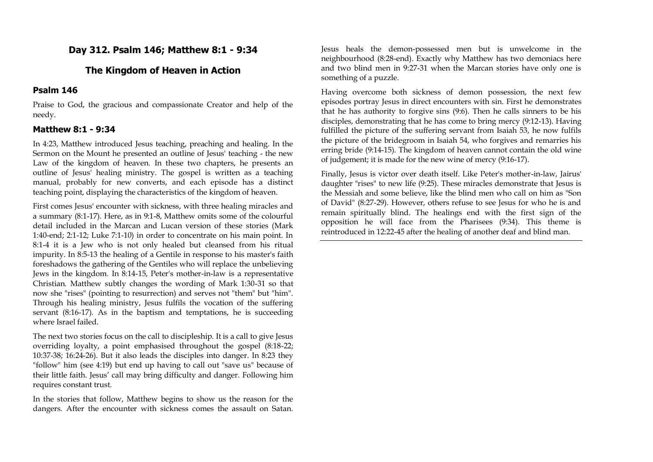## **Day 312. Psalm 146; Matthew 8:1 - 9:34**

## **The Kingdom of Heaven in Action**

## **Psalm 146**

Praise to God, the gracious and compassionate Creator and help of the needy.

## **Matthew 8:1 - 9:34**

In 4:23, Matthew introduced Jesus teaching, preaching and healing. In the Sermon on the Mount he presented an outline of Jesus' teaching - the new Law of the kingdom of heaven. In these two chapters, he presents an outline of Jesus' healing ministry. The gospel is written as a teaching manual, probably for new converts, and each episode has a distinct teaching point, displaying the characteristics of the kingdom of heaven.

First comes Jesus' encounter with sickness, with three healing miracles and a summary (8:1-17). Here, as in 9:1-8, Matthew omits some of the colourful detail included in the Marcan and Lucan version of these stories (Mark 1:40-end; 2:1-12; Luke 7:1-10) in order to concentrate on his main point. In 8:1-4 it is a Jew who is not only healed but cleansed from his ritual impurity. In 8:5-13 the healing of a Gentile in response to his master's faith foreshadows the gathering of the Gentiles who will replace the unbelieving Jews in the kingdom. In 8:14-15, Peter's mother-in-law is a representative Christian. Matthew subtly changes the wording of Mark 1:30-31 so that now she "rises" (pointing to resurrection) and serves not "them" but "him". Through his healing ministry, Jesus fulfils the vocation of the suffering servant (8:16-17). As in the baptism and temptations, he is succeeding where Israel failed.

The next two stories focus on the call to discipleship. It is a call to give Jesus overriding loyalty, a point emphasised throughout the gospel (8:18-22; 10:37-38; 16:24-26). But it also leads the disciples into danger. In 8:23 they "follow" him (see 4:19) but end up having to call out "save us" because of their little faith. Jesus' call may bring difficulty and danger. Following him requires constant trust.

In the stories that follow, Matthew begins to show us the reason for the dangers. After the encounter with sickness comes the assault on Satan. Jesus heals the demon-possessed men but is unwelcome in the neighbourhood (8:28-end). Exactly why Matthew has two demoniacs here and two blind men in 9:27-31 when the Marcan stories have only one is something of a puzzle.

Having overcome both sickness of demon possession, the next few episodes portray Jesus in direct encounters with sin. First he demonstrates that he has authority to forgive sins (9:6). Then he calls sinners to be his disciples, demonstrating that he has come to bring mercy (9:12-13). Having fulfilled the picture of the suffering servant from Isaiah 53, he now fulfils the picture of the bridegroom in Isaiah 54, who forgives and remarries his erring bride (9:14-15). The kingdom of heaven cannot contain the old wine of judgement; it is made for the new wine of mercy (9:16-17).

Finally, Jesus is victor over death itself. Like Peter's mother-in-law, Jairus' daughter "rises" to new life (9:25). These miracles demonstrate that Jesus is the Messiah and some believe, like the blind men who call on him as "Son of David" (8:27-29). However, others refuse to see Jesus for who he is and remain spiritually blind. The healings end with the first sign of the opposition he will face from the Pharisees (9:34). This theme is reintroduced in 12:22-45 after the healing of another deaf and blind man.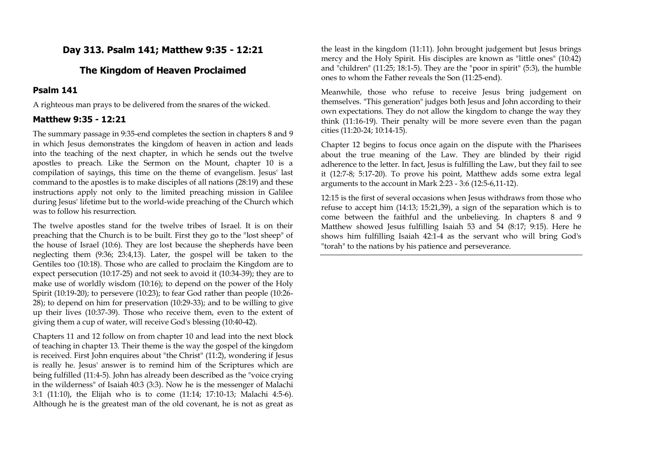## **Day 313. Psalm 141; Matthew 9:35 - 12:21**

### **The Kingdom of Heaven Proclaimed**

### **Psalm 141**

A righteous man prays to be delivered from the snares of the wicked.

#### **Matthew 9:35 - 12:21**

The summary passage in 9:35-end completes the section in chapters 8 and 9 in which Jesus demonstrates the kingdom of heaven in action and leads into the teaching of the next chapter, in which he sends out the twelve apostles to preach. Like the Sermon on the Mount, chapter 10 is a compilation of sayings, this time on the theme of evangelism. Jesus' last command to the apostles is to make disciples of all nations (28:19) and these instructions apply not only to the limited preaching mission in Galilee during Jesus' lifetime but to the world-wide preaching of the Church which was to follow his resurrection.

The twelve apostles stand for the twelve tribes of Israel. It is on their preaching that the Church is to be built. First they go to the "lost sheep" of the house of Israel (10:6). They are lost because the shepherds have been neglecting them (9:36; 23:4,13). Later, the gospel will be taken to the Gentiles too (10:18). Those who are called to proclaim the Kingdom are to expect persecution (10:17-25) and not seek to avoid it (10:34-39); they are to make use of worldly wisdom (10:16); to depend on the power of the Holy Spirit (10:19-20); to persevere (10:23); to fear God rather than people (10:26- 28); to depend on him for preservation (10:29-33); and to be willing to give up their lives (10:37-39). Those who receive them, even to the extent of giving them a cup of water, will receive God's blessing (10:40-42).

Chapters 11 and 12 follow on from chapter 10 and lead into the next block of teaching in chapter 13. Their theme is the way the gospel of the kingdom is received. First John enquires about "the Christ" (11:2), wondering if Jesus is really he. Jesus' answer is to remind him of the Scriptures which are being fulfilled (11:4-5). John has already been described as the "voice crying in the wilderness" of Isaiah 40:3 (3:3). Now he is the messenger of Malachi 3:1 (11:10), the Elijah who is to come (11:14; 17:10-13; Malachi 4:5-6). Although he is the greatest man of the old covenant, he is not as great as

the least in the kingdom (11:11). John brought judgement but Jesus brings mercy and the Holy Spirit. His disciples are known as "little ones" (10:42) and "children" (11:25; 18:1-5). They are the "poor in spirit" (5:3), the humble ones to whom the Father reveals the Son (11:25-end).

Meanwhile, those who refuse to receive Jesus bring judgement on themselves. "This generation" judges both Jesus and John according to their own expectations. They do not allow the kingdom to change the way they think (11:16-19). Their penalty will be more severe even than the pagan cities (11:20-24; 10:14-15).

Chapter 12 begins to focus once again on the dispute with the Pharisees about the true meaning of the Law. They are blinded by their rigid adherence to the letter. In fact, Jesus is fulfilling the Law, but they fail to see it (12:7-8; 5:17-20). To prove his point, Matthew adds some extra legal arguments to the account in Mark 2:23 - 3:6 (12:5-6,11-12).

12:15 is the first of several occasions when Jesus withdraws from those who refuse to accept him (14:13; 15:21,39), a sign of the separation which is to come between the faithful and the unbelieving. In chapters 8 and 9 Matthew showed Jesus fulfilling Isaiah 53 and 54 (8:17; 9:15). Here he shows him fulfilling Isaiah 42:1-4 as the servant who will bring God's "torah" to the nations by his patience and perseverance.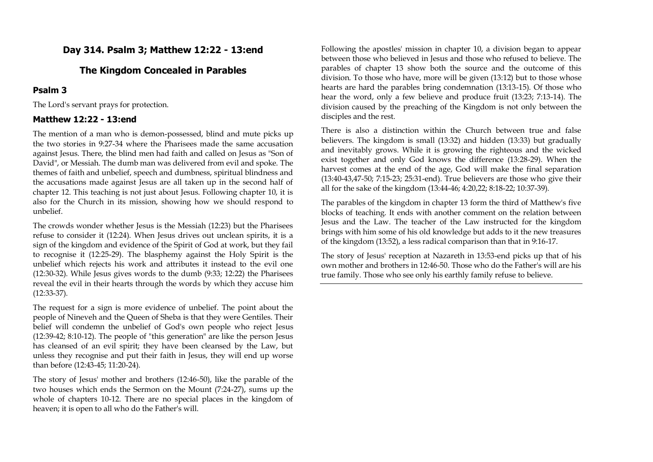## **Day 314. Psalm 3; Matthew 12:22 - 13:end**

## **The Kingdom Concealed in Parables**

## **Psalm 3**

The Lord's servant prays for protection.

## **Matthew 12:22 - 13:end**

The mention of a man who is demon-possessed, blind and mute picks up the two stories in 9:27-34 where the Pharisees made the same accusation against Jesus. There, the blind men had faith and called on Jesus as "Son of David", or Messiah. The dumb man was delivered from evil and spoke. The themes of faith and unbelief, speech and dumbness, spiritual blindness and the accusations made against Jesus are all taken up in the second half of chapter 12. This teaching is not just about Jesus. Following chapter 10, it is also for the Church in its mission, showing how we should respond to unbelief.

The crowds wonder whether Jesus is the Messiah (12:23) but the Pharisees refuse to consider it (12:24). When Jesus drives out unclean spirits, it is a sign of the kingdom and evidence of the Spirit of God at work, but they fail to recognise it (12:25-29). The blasphemy against the Holy Spirit is the unbelief which rejects his work and attributes it instead to the evil one (12:30-32). While Jesus gives words to the dumb (9:33; 12:22) the Pharisees reveal the evil in their hearts through the words by which they accuse him (12:33-37).

The request for a sign is more evidence of unbelief. The point about the people of Nineveh and the Queen of Sheba is that they were Gentiles. Their belief will condemn the unbelief of God's own people who reject Jesus (12:39-42; 8:10-12). The people of "this generation" are like the person Jesus has cleansed of an evil spirit; they have been cleansed by the Law, but unless they recognise and put their faith in Jesus, they will end up worse than before (12:43-45; 11:20-24).

The story of Jesus' mother and brothers (12:46-50), like the parable of the two houses which ends the Sermon on the Mount (7:24-27), sums up the whole of chapters 10-12. There are no special places in the kingdom of heaven; it is open to all who do the Father's will.

Following the apostles' mission in chapter 10, a division began to appear between those who believed in Jesus and those who refused to believe. The parables of chapter 13 show both the source and the outcome of this division. To those who have, more will be given (13:12) but to those whose hearts are hard the parables bring condemnation (13:13-15). Of those who hear the word, only a few believe and produce fruit (13:23; 7:13-14). The division caused by the preaching of the Kingdom is not only between the disciples and the rest.

There is also a distinction within the Church between true and false believers. The kingdom is small (13:32) and hidden (13:33) but gradually and inevitably grows. While it is growing the righteous and the wicked exist together and only God knows the difference (13:28-29). When the harvest comes at the end of the age, God will make the final separation (13:40-43,47-50; 7:15-23; 25:31-end). True believers are those who give their all for the sake of the kingdom (13:44-46; 4:20,22; 8:18-22; 10:37-39).

The parables of the kingdom in chapter 13 form the third of Matthew's five blocks of teaching. It ends with another comment on the relation between Jesus and the Law. The teacher of the Law instructed for the kingdom brings with him some of his old knowledge but adds to it the new treasures of the kingdom (13:52), a less radical comparison than that in 9:16-17.

The story of Jesus' reception at Nazareth in 13:53-end picks up that of his own mother and brothers in 12:46-50. Those who do the Father's will are his true family. Those who see only his earthly family refuse to believe.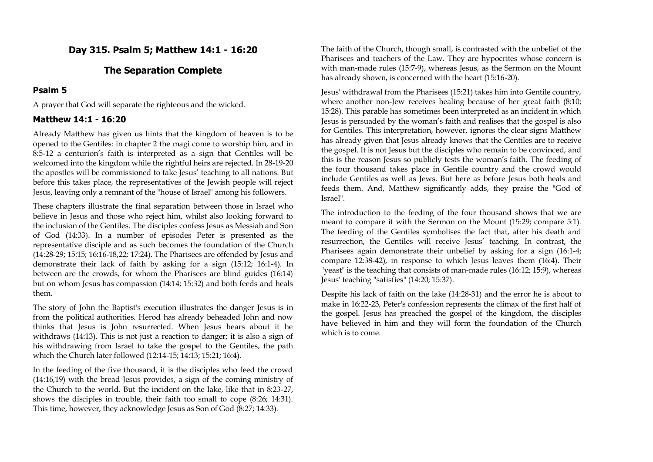## **Day 315. Psalm 5; Matthew 14:1 - 16:20**

## **The Separation Complete**

### **Psalm 5**

A prayer that God will separate the righteous and the wicked.

## **Matthew 14:1 - 16:20**

Already Matthew has given us hints that the kingdom of heaven is to be opened to the Gentiles: in chapter 2 the magi come to worship him, and in 8:5-12 a centurion's faith is interpreted as a sign that Gentiles will be welcomed into the kingdom while the rightful heirs are rejected. In 28-19-20 the apostles will be commissioned to take Jesus' teaching to all nations. But before this takes place, the representatives of the Jewish people will reject Jesus, leaving only a remnant of the "house of Israel" among his followers.

These chapters illustrate the final separation between those in Israel who believe in Jesus and those who reject him, whilst also looking forward to the inclusion of the Gentiles. The disciples confess Jesus as Messiah and Son of God (14:33). In a number of episodes Peter is presented as the representative disciple and as such becomes the foundation of the Church (14:28-29; 15:15; 16:16-18,22; 17:24). The Pharisees are offended by Jesus and demonstrate their lack of faith by asking for a sign (15:12; 16:1-4). In between are the crowds, for whom the Pharisees are blind guides (16:14) but on whom Jesus has compassion (14:14; 15:32) and both feeds and heals them.

The story of John the Baptist's execution illustrates the danger Jesus is in from the political authorities. Herod has already beheaded John and now thinks that Jesus is John resurrected. When Jesus hears about it he withdraws (14:13). This is not just a reaction to danger; it is also a sign of his withdrawing from Israel to take the gospel to the Gentiles, the path which the Church later followed (12:14-15; 14:13; 15:21; 16:4).

In the feeding of the five thousand, it is the disciples who feed the crowd (14:16,19) with the bread Jesus provides, a sign of the coming ministry of the Church to the world. But the incident on the lake, like that in 8:23-27, shows the disciples in trouble, their faith too small to cope (8:26; 14:31). This time, however, they acknowledge Jesus as Son of God (8:27; 14:33).

The faith of the Church, though small, is contrasted with the unbelief of the Pharisees and teachers of the Law. They are hypocrites whose concern is with man-made rules (15:7-9), whereas Jesus, as the Sermon on the Mount has already shown, is concerned with the heart (15:16-20).

Jesus' withdrawal from the Pharisees (15:21) takes him into Gentile country, where another non-Jew receives healing because of her great faith (8:10; 15:28). This parable has sometimes been interpreted as an incident in which Jesus is persuaded by the woman's faith and realises that the gospel is also for Gentiles. This interpretation, however, ignores the clear signs Matthew has already given that Jesus already knows that the Gentiles are to receive the gospel. It is not Jesus but the disciples who remain to be convinced, and this is the reason Jesus so publicly tests the woman's faith. The feeding of the four thousand takes place in Gentile country and the crowd would include Gentiles as well as Jews. But here as before Jesus both heals and feeds them. And, Matthew significantly adds, they praise the "God of Israel".

The introduction to the feeding of the four thousand shows that we are meant to compare it with the Sermon on the Mount (15:29; compare 5:1). The feeding of the Gentiles symbolises the fact that, after his death and resurrection, the Gentiles will receive Jesus' teaching. In contrast, the Pharisees again demonstrate their unbelief by asking for a sign (16:1-4; compare 12:38-42), in response to which Jesus leaves them (16:4). Their "yeast" is the teaching that consists of man-made rules (16:12; 15:9), whereas Jesus' teaching "satisfies" (14:20; 15:37).

Despite his lack of faith on the lake (14:28-31) and the error he is about to make in 16:22-23, Peter's confession represents the climax of the first half of the gospel. Jesus has preached the gospel of the kingdom, the disciples have believed in him and they will form the foundation of the Church which is to come.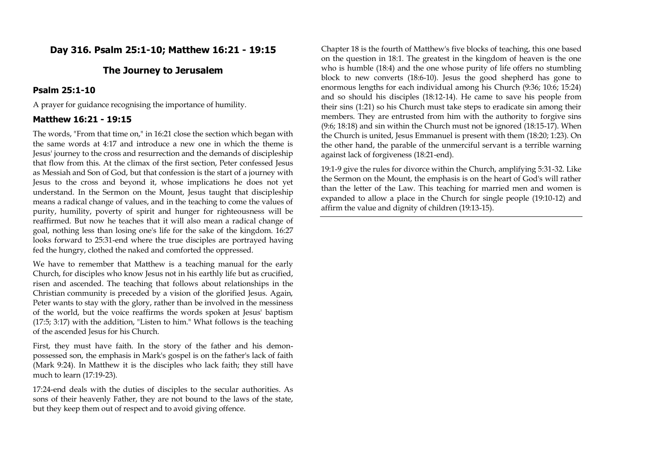## **Day 316. Psalm 25:1-10; Matthew 16:21 - 19:15**

### **The Journey to Jerusalem**

### **Psalm 25:1-10**

A prayer for guidance recognising the importance of humility.

## **Matthew 16:21 - 19:15**

The words, "From that time on," in 16:21 close the section which began with the same words at 4:17 and introduce a new one in which the theme is Jesus' journey to the cross and resurrection and the demands of discipleship that flow from this. At the climax of the first section, Peter confessed Jesus as Messiah and Son of God, but that confession is the start of a journey with Jesus to the cross and beyond it, whose implications he does not yet understand. In the Sermon on the Mount, Jesus taught that discipleship means a radical change of values, and in the teaching to come the values of purity, humility, poverty of spirit and hunger for righteousness will be reaffirmed. But now he teaches that it will also mean a radical change of goal, nothing less than losing one's life for the sake of the kingdom. 16:27 looks forward to 25:31-end where the true disciples are portrayed having fed the hungry, clothed the naked and comforted the oppressed.

We have to remember that Matthew is a teaching manual for the early Church, for disciples who know Jesus not in his earthly life but as crucified, risen and ascended. The teaching that follows about relationships in the Christian community is preceded by a vision of the glorified Jesus. Again, Peter wants to stay with the glory, rather than be involved in the messiness of the world, but the voice reaffirms the words spoken at Jesus' baptism (17:5; 3:17) with the addition, "Listen to him." What follows is the teaching of the ascended Jesus for his Church.

First, they must have faith. In the story of the father and his demonpossessed son, the emphasis in Mark's gospel is on the father's lack of faith (Mark 9:24). In Matthew it is the disciples who lack faith; they still have much to learn (17:19-23).

17:24-end deals with the duties of disciples to the secular authorities. As sons of their heavenly Father, they are not bound to the laws of the state, but they keep them out of respect and to avoid giving offence.

Chapter 18 is the fourth of Matthew's five blocks of teaching, this one based on the question in 18:1. The greatest in the kingdom of heaven is the one who is humble (18:4) and the one whose purity of life offers no stumbling block to new converts (18:6-10). Jesus the good shepherd has gone to enormous lengths for each individual among his Church (9:36; 10:6; 15:24) and so should his disciples (18:12-14). He came to save his people from their sins (1:21) so his Church must take steps to eradicate sin among their members. They are entrusted from him with the authority to forgive sins (9:6; 18:18) and sin within the Church must not be ignored (18:15-17). When the Church is united, Jesus Emmanuel is present with them (18:20; 1:23). On the other hand, the parable of the unmerciful servant is a terrible warning against lack of forgiveness (18:21-end).

19:1-9 give the rules for divorce within the Church, amplifying 5:31-32. Like the Sermon on the Mount, the emphasis is on the heart of God's will rather than the letter of the Law. This teaching for married men and women is expanded to allow a place in the Church for single people (19:10-12) and affirm the value and dignity of children (19:13-15).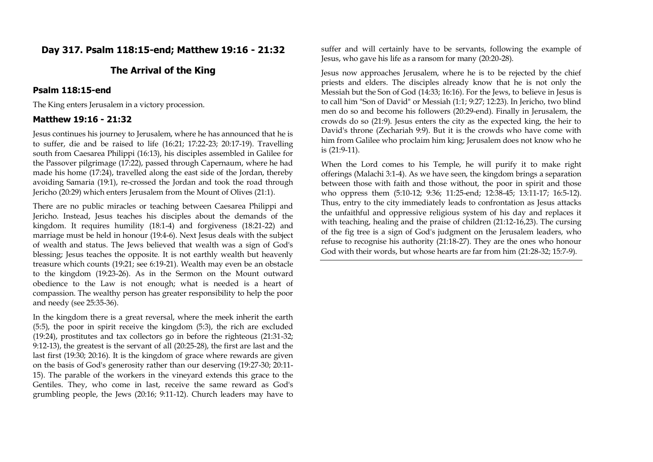## **Day 317. Psalm 118:15-end; Matthew 19:16 - 21:32**

## **The Arrival of the King**

### **Psalm 118:15-end**

The King enters Jerusalem in a victory procession.

#### **Matthew 19:16 - 21:32**

Jesus continues his journey to Jerusalem, where he has announced that he is to suffer, die and be raised to life (16:21; 17:22-23; 20:17-19). Travelling south from Caesarea Philippi (16:13), his disciples assembled in Galilee for the Passover pilgrimage (17:22), passed through Capernaum, where he had made his home (17:24), travelled along the east side of the Jordan, thereby avoiding Samaria (19:1), re-crossed the Jordan and took the road through Jericho (20:29) which enters Jerusalem from the Mount of Olives (21:1).

There are no public miracles or teaching between Caesarea Philippi and Jericho. Instead, Jesus teaches his disciples about the demands of the kingdom. It requires humility (18:1-4) and forgiveness (18:21-22) and marriage must be held in honour (19:4-6). Next Jesus deals with the subject of wealth and status. The Jews believed that wealth was a sign of God's blessing; Jesus teaches the opposite. It is not earthly wealth but heavenly treasure which counts (19:21; see 6:19-21). Wealth may even be an obstacle to the kingdom (19:23-26). As in the Sermon on the Mount outward obedience to the Law is not enough; what is needed is a heart of compassion. The wealthy person has greater responsibility to help the poor and needy (see 25:35-36).

In the kingdom there is a great reversal, where the meek inherit the earth (5:5), the poor in spirit receive the kingdom (5:3), the rich are excluded (19:24), prostitutes and tax collectors go in before the righteous (21:31-32; 9:12-13), the greatest is the servant of all (20:25-28), the first are last and the last first (19:30; 20:16). It is the kingdom of grace where rewards are given on the basis of God's generosity rather than our deserving (19:27-30; 20:11- 15). The parable of the workers in the vineyard extends this grace to the Gentiles. They, who come in last, receive the same reward as God's grumbling people, the Jews (20:16; 9:11-12). Church leaders may have to suffer and will certainly have to be servants, following the example of Jesus, who gave his life as a ransom for many (20:20-28).

Jesus now approaches Jerusalem, where he is to be rejected by the chief priests and elders. The disciples already know that he is not only the Messiah but the Son of God (14:33; 16:16). For the Jews, to believe in Jesus is to call him "Son of David" or Messiah (1:1; 9:27; 12:23). In Jericho, two blind men do so and become his followers (20:29-end). Finally in Jerusalem, the crowds do so (21:9). Jesus enters the city as the expected king, the heir to David's throne (Zechariah 9:9). But it is the crowds who have come with him from Galilee who proclaim him king; Jerusalem does not know who he is (21:9-11).

When the Lord comes to his Temple, he will purify it to make right offerings (Malachi 3:1-4). As we have seen, the kingdom brings a separation between those with faith and those without, the poor in spirit and those who oppress them (5:10-12; 9:36; 11:25-end; 12:38-45; 13:11-17; 16:5-12). Thus, entry to the city immediately leads to confrontation as Jesus attacks the unfaithful and oppressive religious system of his day and replaces it with teaching, healing and the praise of children (21:12-16,23). The cursing of the fig tree is a sign of God's judgment on the Jerusalem leaders, who refuse to recognise his authority (21:18-27). They are the ones who honour God with their words, but whose hearts are far from him (21:28-32; 15:7-9).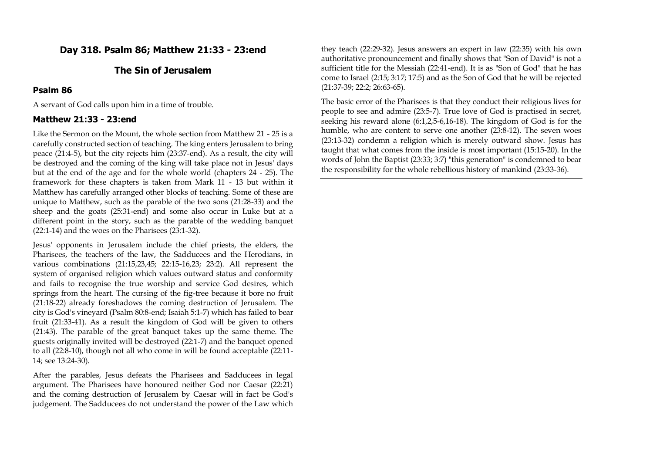## **Day 318. Psalm 86; Matthew 21:33 - 23:end**

## **The Sin of Jerusalem**

## **Psalm 86**

A servant of God calls upon him in a time of trouble.

### **Matthew 21:33 - 23:end**

Like the Sermon on the Mount, the whole section from Matthew 21 - 25 is a carefully constructed section of teaching. The king enters Jerusalem to bring peace (21:4-5), but the city rejects him (23:37-end). As a result, the city will be destroyed and the coming of the king will take place not in Jesus' days but at the end of the age and for the whole world (chapters 24 - 25). The framework for these chapters is taken from Mark 11 - 13 but within it Matthew has carefully arranged other blocks of teaching. Some of these are unique to Matthew, such as the parable of the two sons (21:28-33) and the sheep and the goats (25:31-end) and some also occur in Luke but at a different point in the story, such as the parable of the wedding banquet (22:1-14) and the woes on the Pharisees (23:1-32).

Jesus' opponents in Jerusalem include the chief priests, the elders, the Pharisees, the teachers of the law, the Sadducees and the Herodians, in various combinations (21:15,23,45; 22:15-16,23; 23:2). All represent the system of organised religion which values outward status and conformity and fails to recognise the true worship and service God desires, which springs from the heart. The cursing of the fig-tree because it bore no fruit (21:18-22) already foreshadows the coming destruction of Jerusalem. The city is God's vineyard (Psalm 80:8-end; Isaiah 5:1-7) which has failed to bear fruit (21:33-41). As a result the kingdom of God will be given to others (21:43). The parable of the great banquet takes up the same theme. The guests originally invited will be destroyed (22:1-7) and the banquet opened to all (22:8-10), though not all who come in will be found acceptable (22:11- 14; see 13:24-30).

After the parables, Jesus defeats the Pharisees and Sadducees in legal argument. The Pharisees have honoured neither God nor Caesar (22:21) and the coming destruction of Jerusalem by Caesar will in fact be God's judgement. The Sadducees do not understand the power of the Law which

they teach (22:29-32). Jesus answers an expert in law (22:35) with his own authoritative pronouncement and finally shows that "Son of David" is not a sufficient title for the Messiah (22:41-end). It is as "Son of God" that he has come to Israel (2:15; 3:17; 17:5) and as the Son of God that he will be rejected (21:37-39; 22:2; 26:63-65).

The basic error of the Pharisees is that they conduct their religious lives for people to see and admire (23:5-7). True love of God is practised in secret, seeking his reward alone (6:1,2,5-6,16-18). The kingdom of God is for the humble, who are content to serve one another (23:8-12). The seven woes (23:13-32) condemn a religion which is merely outward show. Jesus has taught that what comes from the inside is most important (15:15-20). In the words of John the Baptist (23:33; 3:7) "this generation" is condemned to bear the responsibility for the whole rebellious history of mankind (23:33-36).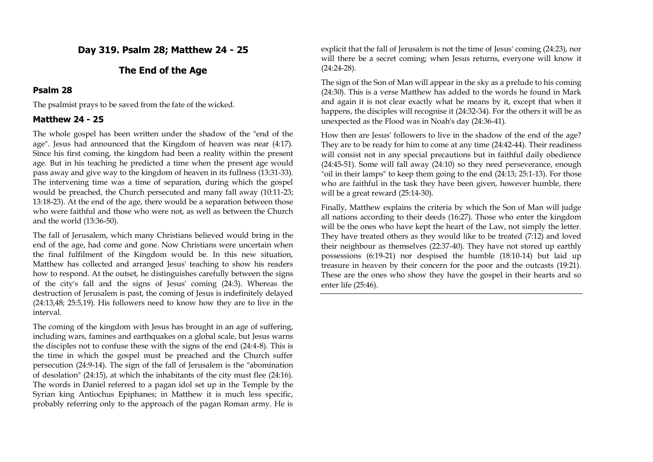## **Day 319. Psalm 28; Matthew 24 - 25**

### **The End of the Age**

#### **Psalm 28**

The psalmist prays to be saved from the fate of the wicked.

## **Matthew 24 - 25**

The whole gospel has been written under the shadow of the "end of the age". Jesus had announced that the Kingdom of heaven was near (4:17). Since his first coming, the kingdom had been a reality within the present age. But in his teaching he predicted a time when the present age would pass away and give way to the kingdom of heaven in its fullness (13:31-33). The intervening time was a time of separation, during which the gospel would be preached, the Church persecuted and many fall away (10:11-23; 13:18-23). At the end of the age, there would be a separation between those who were faithful and those who were not, as well as between the Church and the world (13:36-50).

The fall of Jerusalem, which many Christians believed would bring in the end of the age, had come and gone. Now Christians were uncertain when the final fulfilment of the Kingdom would be. In this new situation, Matthew has collected and arranged Jesus' teaching to show his readers how to respond. At the outset, he distinguishes carefully between the signs of the city's fall and the signs of Jesus' coming (24:3). Whereas the destruction of Jerusalem is past, the coming of Jesus is indefinitely delayed (24:13,48; 25:5,19). His followers need to know how they are to live in the interval.

The coming of the kingdom with Jesus has brought in an age of suffering, including wars, famines and earthquakes on a global scale, but Jesus warns the disciples not to confuse these with the signs of the end (24:4-8). This is the time in which the gospel must be preached and the Church suffer persecution (24:9-14). The sign of the fall of Jerusalem is the "abomination of desolation" (24:15), at which the inhabitants of the city must flee (24:16). The words in Daniel referred to a pagan idol set up in the Temple by the Syrian king Antiochus Epiphanes; in Matthew it is much less specific, probably referring only to the approach of the pagan Roman army. He is explicit that the fall of Jerusalem is not the time of Jesus' coming (24:23), nor will there be a secret coming; when Jesus returns, everyone will know it (24:24-28).

The sign of the Son of Man will appear in the sky as a prelude to his coming (24:30). This is a verse Matthew has added to the words he found in Mark and again it is not clear exactly what he means by it, except that when it happens, the disciples will recognise it (24:32-34). For the others it will be as unexpected as the Flood was in Noah's day (24:36-41).

How then are Jesus' followers to live in the shadow of the end of the age? They are to be ready for him to come at any time (24:42-44). Their readiness will consist not in any special precautions but in faithful daily obedience (24:45-51). Some will fall away (24:10) so they need perseverance, enough "oil in their lamps" to keep them going to the end (24:13; 25:1-13). For those who are faithful in the task they have been given, however humble, there will be a great reward (25:14-30).

Finally, Matthew explains the criteria by which the Son of Man will judge all nations according to their deeds (16:27). Those who enter the kingdom will be the ones who have kept the heart of the Law, not simply the letter. They have treated others as they would like to be treated (7:12) and loved their neighbour as themselves (22:37-40). They have not stored up earthly possessions (6:19-21) nor despised the humble (18:10-14) but laid up treasure in heaven by their concern for the poor and the outcasts (19:21). These are the ones who show they have the gospel in their hearts and so enter life (25:46).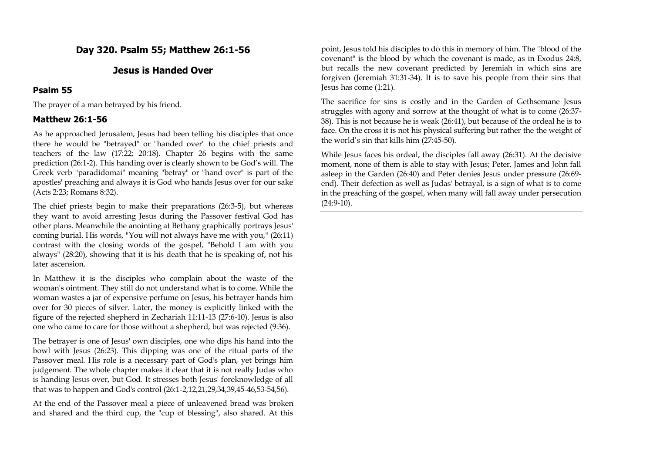## **Day 320. Psalm 55; Matthew 26:1-56**

## **Jesus is Handed Over**

#### **Psalm 55**

The prayer of a man betrayed by his friend.

### **Matthew 26:1-56**

As he approached Jerusalem, Jesus had been telling his disciples that once there he would be "betrayed" or "handed over" to the chief priests and teachers of the law (17:22; 20:18). Chapter 26 begins with the same prediction (26:1-2). This handing over is clearly shown to be God's will. The Greek verb "paradidomai" meaning "betray" or "hand over" is part of the apostles' preaching and always it is God who hands Jesus over for our sake (Acts 2:23; Romans 8:32).

The chief priests begin to make their preparations (26:3-5), but whereas they want to avoid arresting Jesus during the Passover festival God has other plans. Meanwhile the anointing at Bethany graphically portrays Jesus' coming burial. His words, "You will not always have me with you," (26:11) contrast with the closing words of the gospel, "Behold I am with you always" (28:20), showing that it is his death that he is speaking of, not his later ascension.

In Matthew it is the disciples who complain about the waste of the woman's ointment. They still do not understand what is to come. While the woman wastes a jar of expensive perfume on Jesus, his betrayer hands him over for 30 pieces of silver. Later, the money is explicitly linked with the figure of the rejected shepherd in Zechariah 11:11-13 (27:6-10). Jesus is also one who came to care for those without a shepherd, but was rejected (9:36).

The betrayer is one of Jesus' own disciples, one who dips his hand into the bowl with Jesus (26:23). This dipping was one of the ritual parts of the Passover meal. His role is a necessary part of God's plan, yet brings him judgement. The whole chapter makes it clear that it is not really Judas who is handing Jesus over, but God. It stresses both Jesus' foreknowledge of all that was to happen and God's control (26:1-2,12,21,29,34,39,45-46,53-54,56).

At the end of the Passover meal a piece of unleavened bread was broken and shared and the third cup, the "cup of blessing", also shared. At this

point, Jesus told his disciples to do this in memory of him. The "blood of the covenant" is the blood by which the covenant is made, as in Exodus 24:8, but recalls the new covenant predicted by Jeremiah in which sins are forgiven (Jeremiah 31:31-34). It is to save his people from their sins that Jesus has come (1:21).

The sacrifice for sins is costly and in the Garden of Gethsemane Jesus struggles with agony and sorrow at the thought of what is to come (26:37- 38). This is not because he is weak (26:41), but because of the ordeal he is to face. On the cross it is not his physical suffering but rather the the weight of the world's sin that kills him (27:45-50).

While Jesus faces his ordeal, the disciples fall away (26:31). At the decisive moment, none of them is able to stay with Jesus; Peter, James and John fall asleep in the Garden (26:40) and Peter denies Jesus under pressure (26:69 end). Their defection as well as Judas' betrayal, is a sign of what is to come in the preaching of the gospel, when many will fall away under persecution  $(24:9-10)$ .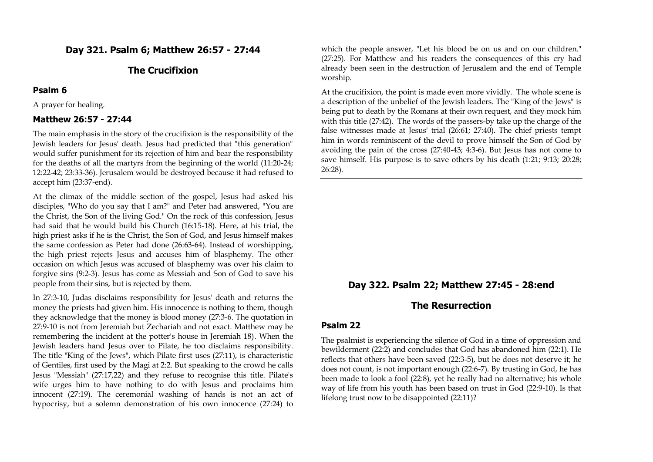## **Day 321. Psalm 6; Matthew 26:57 - 27:44**

## **The Crucifixion**

#### **Psalm 6**

A prayer for healing.

#### **Matthew 26:57 - 27:44**

The main emphasis in the story of the crucifixion is the responsibility of the Jewish leaders for Jesus' death. Jesus had predicted that "this generation" would suffer punishment for its rejection of him and bear the responsibility for the deaths of all the martyrs from the beginning of the world (11:20-24; 12:22-42; 23:33-36). Jerusalem would be destroyed because it had refused to accept him (23:37-end).

At the climax of the middle section of the gospel, Jesus had asked his disciples, "Who do you say that I am?" and Peter had answered, "You are the Christ, the Son of the living God." On the rock of this confession, Jesus had said that he would build his Church (16:15-18). Here, at his trial, the high priest asks if he is the Christ, the Son of God, and Jesus himself makes the same confession as Peter had done (26:63-64). Instead of worshipping, the high priest rejects Jesus and accuses him of blasphemy. The other occasion on which Jesus was accused of blasphemy was over his claim to forgive sins (9:2-3). Jesus has come as Messiah and Son of God to save his people from their sins, but is rejected by them.

In 27:3-10, Judas disclaims responsibility for Jesus' death and returns the money the priests had given him. His innocence is nothing to them, though they acknowledge that the money is blood money (27:3-6. The quotation in 27:9-10 is not from Jeremiah but Zechariah and not exact. Matthew may be remembering the incident at the potter's house in Jeremiah 18). When the Jewish leaders hand Jesus over to Pilate, he too disclaims responsibility. The title "King of the Jews", which Pilate first uses (27:11), is characteristic of Gentiles, first used by the Magi at 2:2. But speaking to the crowd he calls Jesus "Messiah" (27:17,22) and they refuse to recognise this title. Pilate's wife urges him to have nothing to do with Jesus and proclaims him innocent (27:19). The ceremonial washing of hands is not an act of hypocrisy, but a solemn demonstration of his own innocence (27:24) to

which the people answer, "Let his blood be on us and on our children." (27:25). For Matthew and his readers the consequences of this cry had already been seen in the destruction of Jerusalem and the end of Temple worship.

At the crucifixion, the point is made even more vividly. The whole scene is a description of the unbelief of the Jewish leaders. The "King of the Jews" is being put to death by the Romans at their own request, and they mock him with this title (27:42). The words of the passers-by take up the charge of the false witnesses made at Jesus' trial (26:61; 27:40). The chief priests tempt him in words reminiscent of the devil to prove himself the Son of God by avoiding the pain of the cross (27:40-43; 4:3-6). But Jesus has not come to save himself. His purpose is to save others by his death (1:21; 9:13; 20:28; 26:28).

## **Day 322. Psalm 22; Matthew 27:45 - 28:end**

## **The Resurrection**

#### **Psalm 22**

The psalmist is experiencing the silence of God in a time of oppression and bewilderment (22:2) and concludes that God has abandoned him (22:1). He reflects that others have been saved (22:3-5), but he does not deserve it; he does not count, is not important enough (22:6-7). By trusting in God, he has been made to look a fool (22:8), yet he really had no alternative; his whole way of life from his youth has been based on trust in God (22:9-10). Is that lifelong trust now to be disappointed (22:11)?